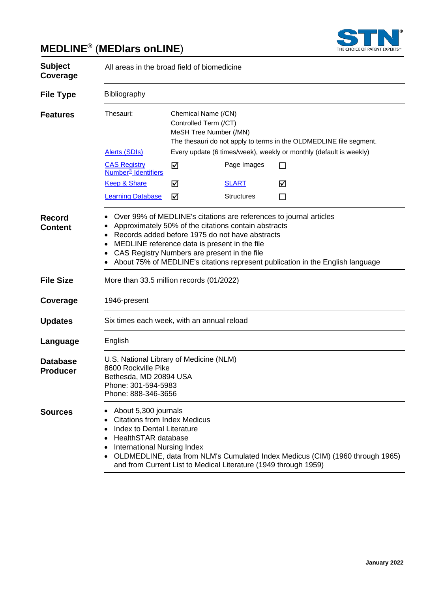# **MEDLINE®** (**MEDlars onLINE**)



| <b>Subject</b><br>Coverage         | All areas in the broad field of biomedicine                                                                                                                                                                                                                                                                                                                           |                                                                                                                                              |                                                                 |    |                                                                               |  |
|------------------------------------|-----------------------------------------------------------------------------------------------------------------------------------------------------------------------------------------------------------------------------------------------------------------------------------------------------------------------------------------------------------------------|----------------------------------------------------------------------------------------------------------------------------------------------|-----------------------------------------------------------------|----|-------------------------------------------------------------------------------|--|
| <b>File Type</b>                   | Bibliography                                                                                                                                                                                                                                                                                                                                                          |                                                                                                                                              |                                                                 |    |                                                                               |  |
| <b>Features</b>                    | Thesauri:                                                                                                                                                                                                                                                                                                                                                             | Chemical Name (/CN)<br>Controlled Term (/CT)<br>MeSH Tree Number (/MN)<br>The thesauri do not apply to terms in the OLDMEDLINE file segment. |                                                                 |    |                                                                               |  |
|                                    | <b>Alerts (SDIs)</b>                                                                                                                                                                                                                                                                                                                                                  | Every update (6 times/week), weekly or monthly (default is weekly)                                                                           |                                                                 |    |                                                                               |  |
|                                    | <b>CAS Registry</b><br><b>Number<sup>®</sup></b> Identifiers                                                                                                                                                                                                                                                                                                          | ☑                                                                                                                                            | Page Images                                                     | ΙI |                                                                               |  |
|                                    | <b>Keep &amp; Share</b>                                                                                                                                                                                                                                                                                                                                               | ⊠                                                                                                                                            | <u>SLART</u>                                                    | ☑  |                                                                               |  |
|                                    | <b>Learning Database</b>                                                                                                                                                                                                                                                                                                                                              | ⊠                                                                                                                                            | <b>Structures</b>                                               | П  |                                                                               |  |
| <b>Record</b><br><b>Content</b>    | Over 99% of MEDLINE's citations are references to journal articles<br>Approximately 50% of the citations contain abstracts<br>Records added before 1975 do not have abstracts<br>MEDLINE reference data is present in the file<br>٠<br>CAS Registry Numbers are present in the file<br>About 75% of MEDLINE's citations represent publication in the English language |                                                                                                                                              |                                                                 |    |                                                                               |  |
| <b>File Size</b>                   | More than 33.5 million records (01/2022)                                                                                                                                                                                                                                                                                                                              |                                                                                                                                              |                                                                 |    |                                                                               |  |
| Coverage                           | 1946-present                                                                                                                                                                                                                                                                                                                                                          |                                                                                                                                              |                                                                 |    |                                                                               |  |
| <b>Updates</b>                     | Six times each week, with an annual reload                                                                                                                                                                                                                                                                                                                            |                                                                                                                                              |                                                                 |    |                                                                               |  |
| Language                           | English                                                                                                                                                                                                                                                                                                                                                               |                                                                                                                                              |                                                                 |    |                                                                               |  |
| <b>Database</b><br><b>Producer</b> | U.S. National Library of Medicine (NLM)<br>8600 Rockville Pike<br>Bethesda, MD 20894 USA<br>Phone: 301-594-5983<br>Phone: 888-346-3656                                                                                                                                                                                                                                |                                                                                                                                              |                                                                 |    |                                                                               |  |
| <b>Sources</b>                     | About 5,300 journals<br>٠<br><b>Citations from Index Medicus</b><br>٠<br>Index to Dental Literature<br>٠<br>HealthSTAR database<br>٠<br><b>International Nursing Index</b>                                                                                                                                                                                            |                                                                                                                                              | and from Current List to Medical Literature (1949 through 1959) |    | OLDMEDLINE, data from NLM's Cumulated Index Medicus (CIM) (1960 through 1965) |  |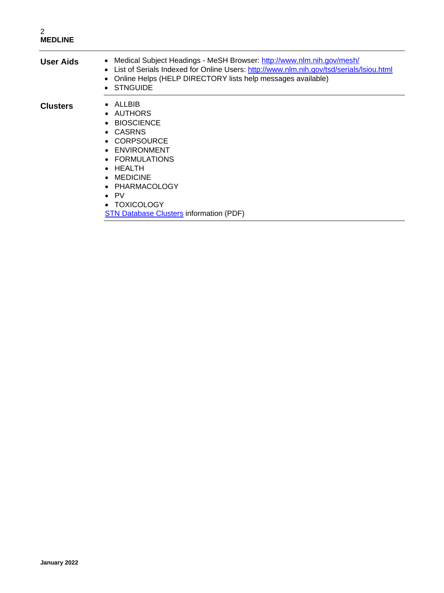| <b>User Aids</b> | • Medical Subject Headings - MeSH Browser: http://www.nlm.nih.gov/mesh/<br>• List of Serials Indexed for Online Users: http://www.nlm.nih.gov/tsd/serials/lsiou.html<br>• Online Helps (HELP DIRECTORY lists help messages available)<br>• STNGUIDE |
|------------------|-----------------------------------------------------------------------------------------------------------------------------------------------------------------------------------------------------------------------------------------------------|
| <b>Clusters</b>  | $\bullet$ allbib<br>• AUTHORS<br>• BIOSCIENCE<br>• CASRNS<br>• CORPSOURCE<br>• ENVIRONMENT<br>• FORMULATIONS<br>$\bullet$ HEALTH<br>$\bullet$ MEDICINE<br>• PHARMACOLOGY<br>$\bullet$ PV                                                            |

• TOXICOLOGY

[STN Database Clusters](https://www.cas.org/sites/default/files/documents/databaseclusters.pdf) information (PDF)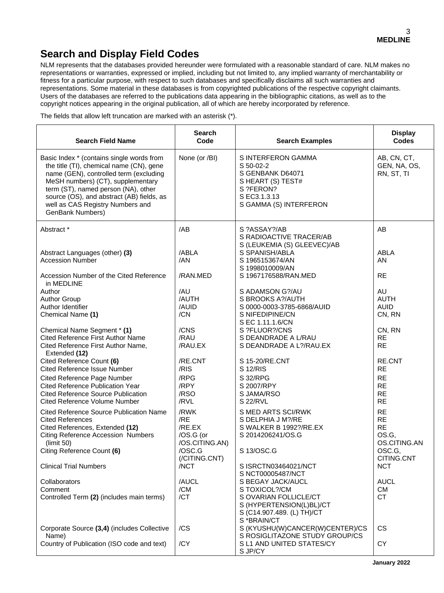## **Search and Display Field Codes**

NLM represents that the databases provided hereunder were formulated with a reasonable standard of care. NLM makes no representations or warranties, expressed or implied, including but not limited to, any implied warranty of merchantability or fitness for a particular purpose, with respect to such databases and specifically disclaims all such warranties and representations. Some material in these databases is from copyrighted publications of the respective copyright claimants. Users of the databases are referred to the publications data appearing in the bibliographic citations, as well as to the copyright notices appearing in the original publication, all of which are hereby incorporated by reference.

The fields that allow left truncation are marked with an asterisk (\*).

| <b>Search Field Name</b>                                                                                                                                                                                                                                                                                         | <b>Search</b><br>Code       | <b>Search Examples</b>                                                                                                          | <b>Display</b><br><b>Codes</b>            |
|------------------------------------------------------------------------------------------------------------------------------------------------------------------------------------------------------------------------------------------------------------------------------------------------------------------|-----------------------------|---------------------------------------------------------------------------------------------------------------------------------|-------------------------------------------|
| Basic Index * (contains single words from<br>the title (TI), chemical name (CN), gene<br>name (GEN), controlled term (excluding<br>MeSH numbers) (CT), supplementary<br>term (ST), named person (NA), other<br>source (OS), and abstract (AB) fields, as<br>well as CAS Registry Numbers and<br>GenBank Numbers) | None (or /BI)               | S INTERFERON GAMMA<br>S 50-02-2<br>S GENBANK D64071<br>S HEART (S) TEST#<br>S ?FERON?<br>S EC3.1.3.13<br>S GAMMA (S) INTERFERON | AB, CN, CT,<br>GEN, NA, OS,<br>RN, ST, TI |
| Abstract *                                                                                                                                                                                                                                                                                                       | /AB                         | S ?ASSAY?/AB<br>S RADIOACTIVE TRACER/AB<br>S (LEUKEMIA (S) GLEEVEC)/AB                                                          | AB                                        |
| Abstract Languages (other) (3)<br><b>Accession Number</b>                                                                                                                                                                                                                                                        | /ABLA<br>/AN                | S SPANISH/ABLA<br>S 1965153674/AN<br>S 1998010009/AN                                                                            | <b>ABLA</b><br>AN                         |
| Accession Number of the Cited Reference<br>in MEDLINE                                                                                                                                                                                                                                                            | /RAN.MED                    | S 1967176588/RAN.MED                                                                                                            | <b>RE</b>                                 |
| Author                                                                                                                                                                                                                                                                                                           | /AU                         | S ADAMSON G?/AU                                                                                                                 | AU                                        |
| <b>Author Group</b>                                                                                                                                                                                                                                                                                              | /AUTH                       | S BROOKS A?/AUTH                                                                                                                | <b>AUTH</b>                               |
| Author Identifier                                                                                                                                                                                                                                                                                                | /AUID                       | S 0000-0003-3785-6868/AUID                                                                                                      | <b>AUID</b>                               |
| Chemical Name (1)                                                                                                                                                                                                                                                                                                | /CN                         | S NIFEDIPINE/CN                                                                                                                 | CN, RN                                    |
|                                                                                                                                                                                                                                                                                                                  |                             | S EC 1.11.1.6/CN                                                                                                                |                                           |
| Chemical Name Segment * (1)                                                                                                                                                                                                                                                                                      | /CNS                        | S ?FLUOR?/CNS                                                                                                                   | CN, RN                                    |
| <b>Cited Reference First Author Name</b><br>Cited Reference First Author Name,<br>Extended (12)                                                                                                                                                                                                                  | /RAU<br>/RAU.EX             | S DEANDRADE A L/RAU<br>S DEANDRADE A L?/RAU.EX                                                                                  | <b>RE</b><br><b>RE</b>                    |
| Cited Reference Count (6)<br><b>Cited Reference Issue Number</b>                                                                                                                                                                                                                                                 | /RE.CNT<br>/RIS             | S 15-20/RE.CNT<br>S 12/RIS                                                                                                      | <b>RE.CNT</b><br><b>RE</b>                |
| Cited Reference Page Number                                                                                                                                                                                                                                                                                      | /RPG                        | S 32/RPG                                                                                                                        | <b>RE</b>                                 |
| <b>Cited Reference Publication Year</b>                                                                                                                                                                                                                                                                          | /RPY                        | S 2007/RPY                                                                                                                      | <b>RE</b>                                 |
| <b>Cited Reference Source Publication</b>                                                                                                                                                                                                                                                                        | /RSO                        | S JAMA/RSO                                                                                                                      | <b>RE</b>                                 |
| <b>Cited Reference Volume Number</b>                                                                                                                                                                                                                                                                             | /RVL                        | <b>S 22/RVL</b>                                                                                                                 | <b>RE</b>                                 |
| <b>Cited Reference Source Publication Name</b>                                                                                                                                                                                                                                                                   | /RWK                        | S MED ARTS SCI/RWK                                                                                                              | <b>RE</b>                                 |
| <b>Cited References</b>                                                                                                                                                                                                                                                                                          | /RE                         | S DELPHIA J M?/RE                                                                                                               | <b>RE</b>                                 |
| Cited References, Extended (12)                                                                                                                                                                                                                                                                                  | /RE.EX                      | S WALKER B 1992?/RE.EX                                                                                                          | <b>RE</b>                                 |
| <b>Citing Reference Accession Numbers</b>                                                                                                                                                                                                                                                                        | /OS.G (or<br>/OS.CITING.AN) | S 2014206241/OS.G                                                                                                               | OS.G,<br>OS.CITING.AN                     |
| (limit 50)<br>Citing Reference Count (6)                                                                                                                                                                                                                                                                         | /OSC.G                      | S 13/OSC.G                                                                                                                      | OSC.G,                                    |
|                                                                                                                                                                                                                                                                                                                  | (/CITING.CNT)               |                                                                                                                                 | CITING.CNT                                |
| <b>Clinical Trial Numbers</b>                                                                                                                                                                                                                                                                                    | /NCT                        | S ISRCTN03464021/NCT<br>S NCT00005487/NCT                                                                                       | <b>NCT</b>                                |
| Collaborators                                                                                                                                                                                                                                                                                                    | /AUCL                       | S BEGAY JACK/AUCL                                                                                                               | <b>AUCL</b>                               |
| Comment                                                                                                                                                                                                                                                                                                          | /CM                         | S TOXICOL?/CM                                                                                                                   | <b>CM</b>                                 |
| Controlled Term (2) (includes main terms)                                                                                                                                                                                                                                                                        | /CT                         | S OVARIAN FOLLICLE/CT                                                                                                           | <b>CT</b>                                 |
|                                                                                                                                                                                                                                                                                                                  |                             | S (HYPERTENSION(L)BL)/CT                                                                                                        |                                           |
|                                                                                                                                                                                                                                                                                                                  |                             | S (C14.907.489. (L) TH)/CT                                                                                                      |                                           |
|                                                                                                                                                                                                                                                                                                                  |                             | S *BRAIN/CT                                                                                                                     |                                           |
| Corporate Source (3,4) (includes Collective                                                                                                                                                                                                                                                                      | /CS                         | S (KYUSHU(W)CANCER(W)CENTER)/CS                                                                                                 | <b>CS</b>                                 |
| Name)                                                                                                                                                                                                                                                                                                            |                             | S ROSIGLITAZONE STUDY GROUP/CS                                                                                                  |                                           |
| Country of Publication (ISO code and text)                                                                                                                                                                                                                                                                       | /CY                         | S L1 AND UNITED STATES/CY<br>S JP/CY                                                                                            | CY                                        |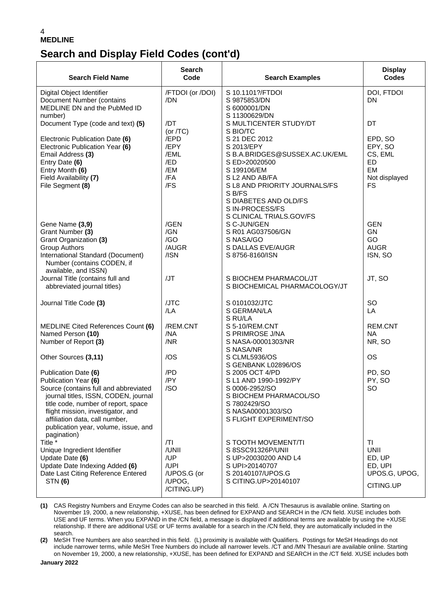## **Search and Display Field Codes (cont'd)**

| <b>Search Field Name</b>                                                                                                                                                                                                                                                                           | Search<br>Code                                                      | <b>Search Examples</b>                                                                                                                                                              | <b>Display</b><br><b>Codes</b>                                                 |
|----------------------------------------------------------------------------------------------------------------------------------------------------------------------------------------------------------------------------------------------------------------------------------------------------|---------------------------------------------------------------------|-------------------------------------------------------------------------------------------------------------------------------------------------------------------------------------|--------------------------------------------------------------------------------|
| Digital Object Identifier<br>Document Number (contains<br>MEDLINE DN and the PubMed ID                                                                                                                                                                                                             | /FTDOI (or /DOI)<br>/DN                                             | S 10.1101?/FTDOI<br>S 9875853/DN<br>S 6000001/DN<br>S 11300629/DN                                                                                                                   | DOI, FTDOI<br><b>DN</b>                                                        |
| number)<br>Document Type (code and text) (5)                                                                                                                                                                                                                                                       | /DT<br>(or $/TC$ )                                                  | S MULTICENTER STUDY/DT<br>S BIO/TC                                                                                                                                                  | DT                                                                             |
| Electronic Publication Date (6)<br>Electronic Publication Year (6)<br>Email Address (3)<br>Entry Date (6)<br>Entry Month (6)<br>Field Availability (7)<br>File Segment (8)                                                                                                                         | /EPD<br>/EPY<br>/EML<br>/ED<br>/EM<br>/FA<br>/FS                    | S 21 DEC 2012<br>S 2013/EPY<br>S B.A.BRIDGES@SUSSEX.AC.UK/EML<br>S ED>20020500<br>S 199106/EM<br>S L2 AND AB/FA<br>S L8 AND PRIORITY JOURNALS/FS<br>S B/FS<br>S DIABETES AND OLD/FS | EPD, SO<br>EPY, SO<br>CS, EML<br><b>ED</b><br>EM<br>Not displayed<br><b>FS</b> |
| Gene Name (3,9)<br>Grant Number (3)<br>Grant Organization (3)<br><b>Group Authors</b><br>International Standard (Document)<br>Number (contains CODEN, if                                                                                                                                           | /GEN<br>/GN<br>/GO<br>/AUGR<br>/ISN                                 | S IN-PROCESS/FS<br>S CLINICAL TRIALS.GOV/FS<br>S C-JUN/GEN<br>S R01 AG037506/GN<br>S NASA/GO<br>S DALLAS EVE/AUGR<br>S 8756-8160/ISN                                                | <b>GEN</b><br>GN<br>GO<br><b>AUGR</b><br>ISN, SO                               |
| available, and ISSN)<br>Journal Title (contains full and<br>abbreviated journal titles)                                                                                                                                                                                                            | /JT                                                                 | S BIOCHEM PHARMACOL/JT<br>S BIOCHEMICAL PHARMACOLOGY/JT                                                                                                                             | JT, SO                                                                         |
| Journal Title Code (3)                                                                                                                                                                                                                                                                             | /JTC<br>/LA                                                         | S 0101032/JTC<br>S GERMAN/LA<br>S RU/LA                                                                                                                                             | <b>SO</b><br>LA                                                                |
| <b>MEDLINE Cited References Count (6)</b><br>Named Person (10)<br>Number of Report (3)                                                                                                                                                                                                             | /REM.CNT<br>/NA<br>/NR                                              | S 5-10/REM.CNT<br>S PRIMROSE J/NA<br>S NASA-00001303/NR<br>S NASA/NR                                                                                                                | REM.CNT<br><b>NA</b><br>NR, SO                                                 |
| Other Sources (3,11)                                                                                                                                                                                                                                                                               | /OS                                                                 | S CLML5936/OS<br>S GENBANK L02896/OS                                                                                                                                                | <b>OS</b>                                                                      |
| Publication Date (6)<br>Publication Year (6)<br>Source (contains full and abbreviated<br>journal titles, ISSN, CODEN, journal<br>title code, number of report, space<br>flight mission, investigator, and<br>affiliation data, call number,<br>publication year, volume, issue, and<br>pagination) | /PD<br>/PY<br>/SO                                                   | S 2005 OCT 4/PD<br>S L1 AND 1990-1992/PY<br>S 0006-2952/SO<br>S BIOCHEM PHARMACOL/SO<br>S 7802429/SO<br>S NASA00001303/SO<br>S FLIGHT EXPERIMENT/SO                                 | PD, SO<br>PY, SO<br>SO                                                         |
| Title *<br>Unique Ingredient Identifier<br>Update Date (6)<br>Update Date Indexing Added (6)<br>Date Last Citing Reference Entered<br><b>STN (6)</b>                                                                                                                                               | /TI<br>/UNII<br>/UP<br>/UPI<br>/UPOS.G (or<br>/UPOG,<br>/CITING.UP) | S TOOTH MOVEMENT/TI<br>S 8SSC91326P/UNII<br>S UP>20030200 AND L4<br>S UPI>20140707<br>S 20140107/UPOS.G<br>S CITING.UP>20140107                                                     | ΤI<br><b>UNII</b><br>ED, UP<br>ED, UPI<br>UPOS.G, UPOG,<br>CITING.UP           |

**(1)** CAS Registry Numbers and Enzyme Codes can also be searched in this field. A /CN Thesaurus is available online. Starting on November 19, 2000, a new relationship, +XUSE, has been defined for EXPAND and SEARCH in the /CN field. XUSE includes both USE and UF terms. When you EXPAND in the /CN field, a message is displayed if additional terms are available by using the +XUSE relationship. If there are additional USE or UF terms available for a search in the /CN field, they are automatically included in the search.

**(2)** MeSH Tree Numbers are also searched in this field. (L) proximity is available with Qualifiers. Postings for MeSH Headings do not include narrower terms, while MeSH Tree Numbers do include all narrower levels. /CT and /MN Thesauri are available online. Starting on November 19, 2000, a new relationship, +XUSE, has been defined for EXPAND and SEARCH in the /CT field. XUSE includes both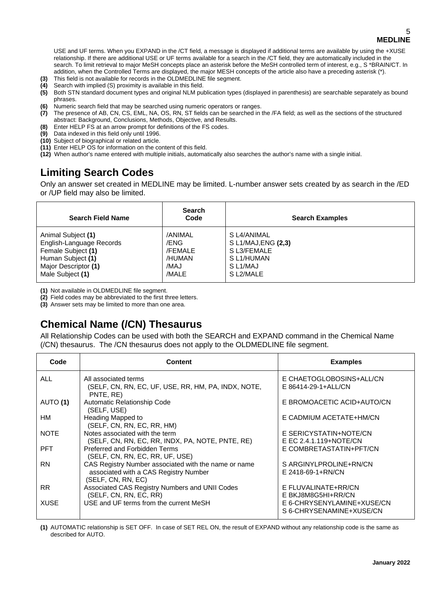USE and UF terms. When you EXPAND in the /CT field, a message is displayed if additional terms are available by using the +XUSE relationship. If there are additional USE or UF terms available for a search in the /CT field, they are automatically included in the search. To limit retrieval to major MeSH concepts place an asterisk before the MeSH controlled term of interest, e.g., S \*BRAIN/CT. In addition, when the Controlled Terms are displayed, the major MESH concepts of the article also have a preceding asterisk (\*).

- **(3)** This field is not available for records in the OLDMEDLINE file segment.
- **(4)** Search with implied (S) proximity is available in this field. **(5)** Both STN standard document types and original NLM publication types (displayed in parenthesis) are searchable separately as bound phrases.
- **(6)** Numeric search field that may be searched using numeric operators or ranges.
- **(7)** The presence of AB, CN, CS, EML, NA, OS, RN, ST fields can be searched in the /FA field; as well as the sections of the structured abstract: Background, Conclusions, Methods, Objective, and Results.
- **(8)** Enter HELP FS at an arrow prompt for definitions of the FS codes.
- **(9)** Data indexed in this field only until 1996.
- **(10)** Subject of biographical or related article.
- **(11)** Enter HELP OS for information on the content of this field.
- **(12)** When author's name entered with multiple initials, automatically also searches the author's name with a single initial.

# **Limiting Search Codes**

Only an answer set created in MEDLINE may be limited. L-number answer sets created by as search in the /ED or /UP field may also be limited.

| <b>Search Field Name</b> | <b>Search</b><br>Code | <b>Search Examples</b> |
|--------------------------|-----------------------|------------------------|
| Animal Subject (1)       | /ANIMAL               | S L4/ANIMAL            |
| English-Language Records | /ENG                  | S L1/MAJ, ENG (2,3)    |
| Female Subject (1)       | /FEMALE               | S L3/FEMALE            |
| Human Subject (1)        | /HUMAN                | S L1/HUMAN             |
| Major Descriptor (1)     | /MAJ                  | S L <sub>1</sub> /MAJ  |
| Male Subject (1)         | /MALE                 | S L2/MALE              |

**(1)** Not available in OLDMEDLINE file segment.

**(2)** Field codes may be abbreviated to the first three letters.

**(3)** Answer sets may be limited to more than one area.

## **Chemical Name (/CN) Thesaurus**

All Relationship Codes can be used with both the SEARCH and EXPAND command in the Chemical Name (/CN) thesaurus. The /CN thesaurus does not apply to the OLDMEDLINE file segment.

| Code        | <b>Content</b>                                                              | <b>Examples</b>                                        |
|-------------|-----------------------------------------------------------------------------|--------------------------------------------------------|
| ALL         | All associated terms<br>(SELF, CN, RN, EC, UF, USE, RR, HM, PA, INDX, NOTE, | E CHAETOGLOBOSINS+ALL/CN<br>E 86414-29-1+ALL/CN        |
|             | PNTE, RE)                                                                   |                                                        |
| AUTO (1)    | Automatic Relationship Code<br>(SELF, USE)                                  | E BROMOACETIC ACID+AUTO/CN                             |
| HМ          | Heading Mapped to<br>(SELF, CN, RN, EC, RR, HM)                             | E CADMIUM ACETATE+HM/CN                                |
| <b>NOTE</b> | Notes associated with the term                                              | E SERICYSTATIN+NOTE/CN                                 |
|             | (SELF, CN, RN, EC, RR, INDX, PA, NOTE, PNTE, RE)                            | E EC 2.4.1.119+NOTE/CN                                 |
| <b>PFT</b>  | Preferred and Forbidden Terms<br>(SELF, CN, RN, EC, RR, UF, USE)            | E COMBRETASTATIN+PFT/CN                                |
| <b>RN</b>   | CAS Registry Number associated with the name or name                        | S ARGINYLPROLINE+RN/CN                                 |
|             | associated with a CAS Registry Number<br>(SELF, CN, RN, EC)                 | E 2418-69-1+RN/CN                                      |
| <b>RR</b>   | Associated CAS Registry Numbers and UNII Codes<br>(SELF, CN, RN, EC, RR)    | E FLUVALINATE+RR/CN<br>E BKJ8M8G5HI+RR/CN              |
| <b>XUSE</b> | USE and UF terms from the current MeSH                                      | E 6-CHRYSENYLAMINE+XUSE/CN<br>S 6-CHRYSENAMINE+XUSE/CN |

**(1)** AUTOMATIC relationship is SET OFF. In case of SET REL ON, the result of EXPAND without any relationship code is the same as described for AUTO.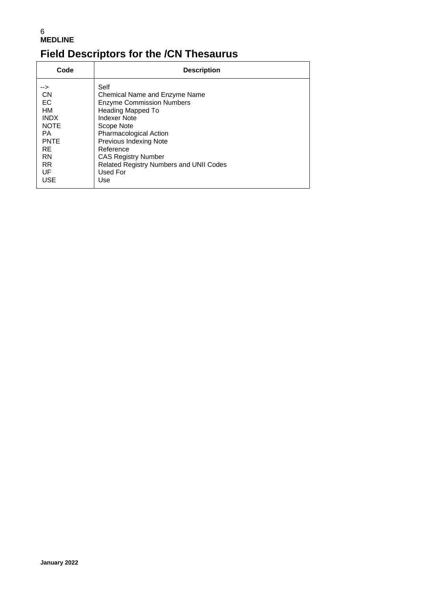#### 6 **MEDLINE Field Descriptors for the /CN Thesaurus**

| <b>Description</b>                                                                                                                                                                                                                 |
|------------------------------------------------------------------------------------------------------------------------------------------------------------------------------------------------------------------------------------|
| Self<br>Chemical Name and Enzyme Name<br><b>Enzyme Commission Numbers</b><br>Heading Mapped To<br><b>Indexer Note</b><br>Scope Note<br>Pharmacological Action<br>Previous Indexing Note<br>Reference<br><b>CAS Registry Number</b> |
| Related Registry Numbers and UNII Codes<br>Used For<br>Use                                                                                                                                                                         |
|                                                                                                                                                                                                                                    |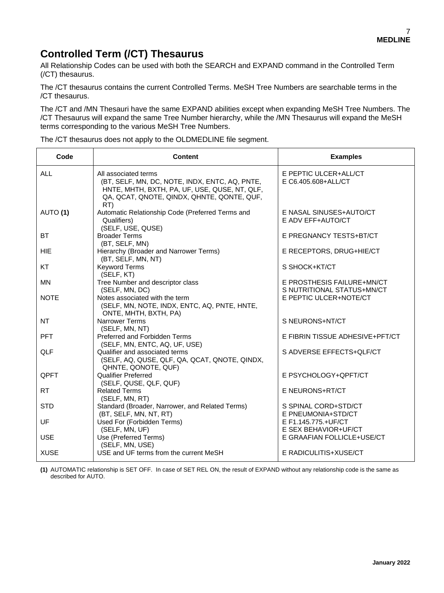## **Controlled Term (/CT) Thesaurus**

All Relationship Codes can be used with both the SEARCH and EXPAND command in the Controlled Term (/CT) thesaurus.

The /CT thesaurus contains the current Controlled Terms. MeSH Tree Numbers are searchable terms in the /CT thesaurus.

The /CT and /MN Thesauri have the same EXPAND abilities except when expanding MeSH Tree Numbers. The /CT Thesaurus will expand the same Tree Number hierarchy, while the /MN Thesaurus will expand the MeSH terms corresponding to the various MeSH Tree Numbers.

| Code        | <b>Content</b>                                                                                                                                                               | <b>Examples</b>                                          |
|-------------|------------------------------------------------------------------------------------------------------------------------------------------------------------------------------|----------------------------------------------------------|
| <b>ALL</b>  | All associated terms<br>(BT, SELF, MN, DC, NOTE, INDX, ENTC, AQ, PNTE,<br>HNTE, MHTH, BXTH, PA, UF, USE, QUSE, NT, QLF,<br>QA, QCAT, QNOTE, QINDX, QHNTE, QONTE, QUF,<br>RT) | E PEPTIC ULCER+ALL/CT<br>E C6.405.608+ALL/CT             |
| AUTO (1)    | Automatic Relationship Code (Preferred Terms and<br>Qualifiers)<br>(SELF, USE, QUSE)                                                                                         | E NASAL SINUSES+AUTO/CT<br>E ADV EFF+AUTO/CT             |
| <b>BT</b>   | <b>Broader Terms</b><br>(BT, SELF, MN)                                                                                                                                       | E PREGNANCY TESTS+BT/CT                                  |
| <b>HIE</b>  | Hierarchy (Broader and Narrower Terms)<br>(BT, SELF, MN, NT)                                                                                                                 | E RECEPTORS, DRUG+HIE/CT                                 |
| KT          | <b>Keyword Terms</b><br>(SELF, KT)                                                                                                                                           | S SHOCK+KT/CT                                            |
| <b>MN</b>   | Tree Number and descriptor class<br>(SELF, MN, DC)                                                                                                                           | E PROSTHESIS FAILURE+MN/CT<br>S NUTRITIONAL STATUS+MN/CT |
| <b>NOTE</b> | Notes associated with the term<br>(SELF, MN, NOTE, INDX, ENTC, AQ, PNTE, HNTE,<br>ONTE, MHTH, BXTH, PA)                                                                      | E PEPTIC ULCER+NOTE/CT                                   |
| <b>NT</b>   | <b>Narrower Terms</b><br>(SELF, MN, NT)                                                                                                                                      | S NEURONS+NT/CT                                          |
| <b>PFT</b>  | Preferred and Forbidden Terms<br>(SELF, MN, ENTC, AQ, UF, USE)                                                                                                               | E FIBRIN TISSUE ADHESIVE+PFT/CT                          |
| QLF         | Qualifier and associated terms<br>(SELF, AQ, QUSE, QLF, QA, QCAT, QNOTE, QINDX,<br>QHNTE, QONOTE, QUF)                                                                       | S ADVERSE EFFECTS+QLF/CT                                 |
| QPFT        | <b>Qualifier Preferred</b><br>(SELF, QUSE, QLF, QUF)                                                                                                                         | E PSYCHOLOGY+QPFT/CT                                     |
| <b>RT</b>   | <b>Related Terms</b><br>(SELF, MN, RT)                                                                                                                                       | E NEURONS+RT/CT                                          |
| <b>STD</b>  | Standard (Broader, Narrower, and Related Terms)<br>(BT, SELF, MN, NT, RT)                                                                                                    | S SPINAL CORD+STD/CT<br>E PNEUMONIA+STD/CT               |
| UF          | Used For (Forbidden Terms)<br>(SELF, MN, UF)                                                                                                                                 | E F1.145.775.+UF/CT<br>E SEX BEHAVIOR+UF/CT              |
| <b>USE</b>  | Use (Preferred Terms)<br>(SELF, MN, USE)                                                                                                                                     | E GRAAFIAN FOLLICLE+USE/CT                               |
| <b>XUSE</b> | USE and UF terms from the current MeSH                                                                                                                                       | E RADICULITIS+XUSE/CT                                    |

The /CT thesaurus does not apply to the OLDMEDLINE file segment.

**(1)** AUTOMATIC relationship is SET OFF. In case of SET REL ON, the result of EXPAND without any relationship code is the same as described for AUTO.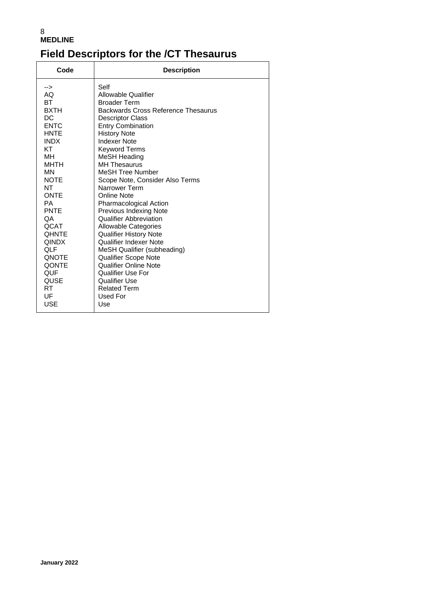# **Field Descriptors for the /CT Thesaurus**

| Code         | <b>Description</b>                  |
|--------------|-------------------------------------|
| -->          | Self                                |
| AQ           | Allowable Qualifier                 |
| <b>BT</b>    | <b>Broader Term</b>                 |
| <b>BXTH</b>  | Backwards Cross Reference Thesaurus |
| <b>DC</b>    | <b>Descriptor Class</b>             |
| <b>ENTC</b>  | <b>Entry Combination</b>            |
| <b>HNTE</b>  | <b>History Note</b>                 |
| <b>INDX</b>  | <b>Indexer Note</b>                 |
| KT           | <b>Keyword Terms</b>                |
| ΜН           | MeSH Heading                        |
| MHTH         | <b>MH Thesaurus</b>                 |
| MN           | MeSH Tree Number                    |
| <b>NOTE</b>  | Scope Note, Consider Also Terms     |
| NΤ           | Narrower Term                       |
| ONTE         | Online Note                         |
| PA           | <b>Pharmacological Action</b>       |
| <b>PNTE</b>  | <b>Previous Indexing Note</b>       |
|              |                                     |
| OA.          | Qualifier Abbreviation              |
| OCAT         | <b>Allowable Categories</b>         |
| <b>OHNTE</b> | <b>Qualifier History Note</b>       |
| <b>QINDX</b> | Qualifier Indexer Note              |
| QLF          | MeSH Qualifier (subheading)         |
| QNOTE        | <b>Qualifier Scope Note</b>         |
| QONTE        | Qualifier Online Note               |
| <b>QUF</b>   | Qualifier Use For                   |
| QUSE         | Qualifier Use                       |
| RT           | <b>Related Term</b>                 |
| UF           | Used For                            |
| <b>USE</b>   | Use                                 |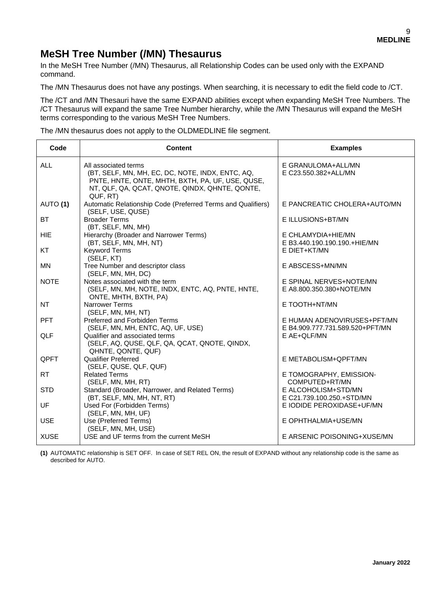## **MeSH Tree Number (/MN) Thesaurus**

In the MeSH Tree Number (/MN) Thesaurus, all Relationship Codes can be used only with the EXPAND command.

The /MN Thesaurus does not have any postings. When searching, it is necessary to edit the field code to /CT.

The /CT and /MN Thesauri have the same EXPAND abilities except when expanding MeSH Tree Numbers. The /CT Thesaurus will expand the same Tree Number hierarchy, while the /MN Thesaurus will expand the MeSH terms corresponding to the various MeSH Tree Numbers.

The /MN thesaurus does not apply to the OLDMEDLINE file segment.

| Code        | <b>Content</b>                                                                                                                                                                             | <b>Examples</b>                                                |
|-------------|--------------------------------------------------------------------------------------------------------------------------------------------------------------------------------------------|----------------------------------------------------------------|
| <b>ALL</b>  | All associated terms<br>(BT, SELF, MN, MH, EC, DC, NOTE, INDX, ENTC, AQ,<br>PNTE, HNTE, ONTE, MHTH, BXTH, PA, UF, USE, QUSE,<br>NT, QLF, QA, QCAT, QNOTE, QINDX, QHNTE, QONTE,<br>QUF, RT) | E GRANULOMA+ALL/MN<br>E C23.550.382+ALL/MN                     |
| AUTO (1)    | Automatic Relationship Code (Preferred Terms and Qualifiers)<br>(SELF, USE, QUSE)                                                                                                          | E PANCREATIC CHOLERA+AUTO/MN                                   |
| ВT          | <b>Broader Terms</b><br>(BT, SELF, MN, MH)                                                                                                                                                 | E ILLUSIONS+BT/MN                                              |
| HIE         | Hierarchy (Broader and Narrower Terms)<br>(BT, SELF, MN, MH, NT)                                                                                                                           | E CHLAMYDIA+HIE/MN<br>E B3.440.190.190.190.+HIE/MN             |
| KT          | <b>Keyword Terms</b><br>(SELF, KT)                                                                                                                                                         | E DIET+KT/MN                                                   |
| <b>MN</b>   | Tree Number and descriptor class<br>(SELF, MN, MH, DC)                                                                                                                                     | E ABSCESS+MN/MN                                                |
| <b>NOTE</b> | Notes associated with the term<br>(SELF, MN, MH, NOTE, INDX, ENTC, AQ, PNTE, HNTE,<br>ONTE, MHTH, BXTH, PA)                                                                                | E SPINAL NERVES+NOTE/MN<br>E A8.800.350.380+NOTE/MN            |
| <b>NT</b>   | <b>Narrower Terms</b><br>(SELF, MN, MH, NT)                                                                                                                                                | E TOOTH+NT/MN                                                  |
| <b>PFT</b>  | Preferred and Forbidden Terms<br>(SELF, MN, MH, ENTC, AQ, UF, USE)                                                                                                                         | E HUMAN ADENOVIRUSES+PFT/MN<br>E B4.909.777.731.589.520+PFT/MN |
| QLF         | Qualifier and associated terms<br>(SELF, AQ, QUSE, QLF, QA, QCAT, QNOTE, QINDX,<br>QHNTE, QONTE, QUF)                                                                                      | E AE+QLF/MN                                                    |
| <b>OPFT</b> | <b>Qualifier Preferred</b><br>(SELF, QUSE, QLF, QUF)                                                                                                                                       | E METABOLISM+QPFT/MN                                           |
| RT.         | <b>Related Terms</b><br>(SELF, MN, MH, RT)                                                                                                                                                 | E TOMOGRAPHY, EMISSION-<br>COMPUTED+RT/MN                      |
| <b>STD</b>  | Standard (Broader, Narrower, and Related Terms)<br>(BT, SELF, MN, MH, NT, RT)                                                                                                              | E ALCOHOLISM+STD/MN<br>E C21.739.100.250.+STD/MN               |
| UF          | Used For (Forbidden Terms)<br>(SELF, MN, MH, UF)                                                                                                                                           | E IODIDE PEROXIDASE+UF/MN                                      |
| <b>USE</b>  | Use (Preferred Terms)<br>(SELF, MN, MH, USE)                                                                                                                                               | E OPHTHALMIA+USE/MN                                            |
| <b>XUSE</b> | USE and UF terms from the current MeSH                                                                                                                                                     | E ARSENIC POISONING+XUSE/MN                                    |

**(1)** AUTOMATIC relationship is SET OFF. In case of SET REL ON, the result of EXPAND without any relationship code is the same as described for AUTO.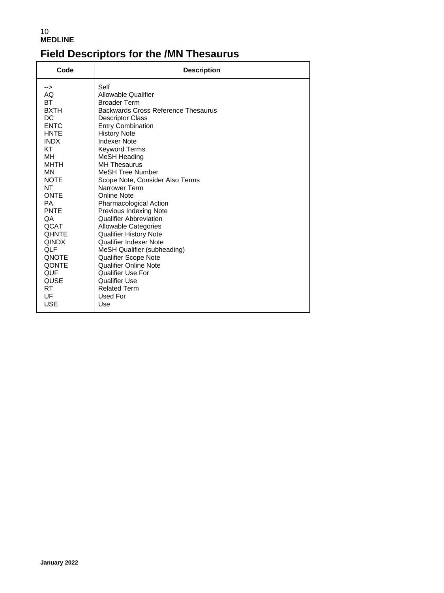# **Field Descriptors for the /MN Thesaurus**

| Code         | <b>Description</b>                  |
|--------------|-------------------------------------|
| -->          | Self                                |
| AQ           | <b>Allowable Qualifier</b>          |
| BT.          | <b>Broader Term</b>                 |
| <b>BXTH</b>  | Backwards Cross Reference Thesaurus |
| DC           | <b>Descriptor Class</b>             |
| <b>ENTC</b>  | <b>Entry Combination</b>            |
| <b>HNTE</b>  | <b>History Note</b>                 |
| <b>INDX</b>  | <b>Indexer Note</b>                 |
| КT           | <b>Keyword Terms</b>                |
| MН           | MeSH Heading                        |
| <b>MHTH</b>  | <b>MH Thesaurus</b>                 |
| MN           | <b>MeSH Tree Number</b>             |
| <b>NOTE</b>  | Scope Note, Consider Also Terms     |
| NΤ           | Narrower Term                       |
| <b>ONTE</b>  | <b>Online Note</b>                  |
| <b>PA</b>    | <b>Pharmacological Action</b>       |
| <b>PNTE</b>  | <b>Previous Indexing Note</b>       |
| QA.          | <b>Qualifier Abbreviation</b>       |
| <b>QCAT</b>  | Allowable Categories                |
| <b>OHNTE</b> | <b>Qualifier History Note</b>       |
| <b>QINDX</b> | Qualifier Indexer Note              |
| QLF          | MeSH Qualifier (subheading)         |
| QNOTE        | <b>Qualifier Scope Note</b>         |
| QONTE        | <b>Qualifier Online Note</b>        |
| QUF          | Qualifier Use For                   |
| QUSE         | Qualifier Use                       |
| RT.          | <b>Related Term</b>                 |
| UF           | Used For                            |
| <b>USE</b>   | Use                                 |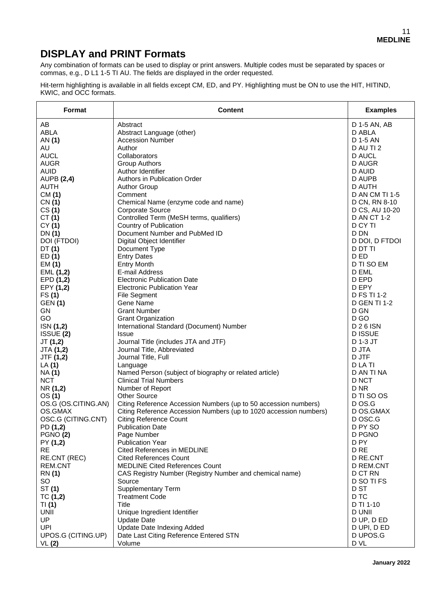# **DISPLAY and PRINT Formats**

Any combination of formats can be used to display or print answers. Multiple codes must be separated by spaces or commas, e.g., D L1 1-5 TI AU. The fields are displayed in the order requested.

Hit-term highlighting is available in all fields except CM, ED, and PY. Highlighting must be ON to use the HIT, HITIND, KWIC, and OCC formats.

| Format              | <b>Content</b>                                                    | <b>Examples</b>     |
|---------------------|-------------------------------------------------------------------|---------------------|
| AB                  | Abstract                                                          | D 1-5 AN, AB        |
| ABLA                | Abstract Language (other)                                         | D ABLA              |
| AN (1)              | <b>Accession Number</b>                                           | D 1-5 AN            |
| AU                  | Author                                                            | D AU TI 2           |
| <b>AUCL</b>         | Collaborators                                                     | D AUCL              |
| <b>AUGR</b>         | <b>Group Authors</b>                                              | D AUGR              |
| <b>AUID</b>         | Author Identifier                                                 | D AUID              |
| <b>AUPB (2,4)</b>   | Authors in Publication Order                                      | D AUPB              |
| AUTH                | <b>Author Group</b>                                               | D AUTH              |
| CM (1)              | Comment                                                           | D AN CM TI 1-5      |
| CN(1)               | Chemical Name (enzyme code and name)                              | D CN, RN 8-10       |
| CS(1)               | <b>Corporate Source</b>                                           | D CS, AU 10-20      |
| CT(1)               | Controlled Term (MeSH terms, qualifiers)                          | D AN CT 1-2         |
| CY(1)               | Country of Publication                                            | D CY TI             |
| DN (1)              | Document Number and PubMed ID                                     | D DN                |
| DOI (FTDOI)         | Digital Object Identifier                                         | D DOI, D FTDOI      |
| DT (1)              | Document Type                                                     | D DT TI             |
| ED(1)               | <b>Entry Dates</b>                                                | D ED                |
| EM(1)               | <b>Entry Month</b>                                                | D TI SO EM          |
| EML (1,2)           | E-mail Address                                                    | D EML               |
| EPD(1,2)            | <b>Electronic Publication Date</b>                                | D EPD               |
| EPY (1,2)           | <b>Electronic Publication Year</b>                                | D EPY               |
| FS(1)               | <b>File Segment</b>                                               | <b>D FS TI 1-2</b>  |
| <b>GEN (1)</b>      | Gene Name                                                         | <b>D GEN TI 1-2</b> |
| GN                  | <b>Grant Number</b>                                               | D GN                |
| GO                  | <b>Grant Organization</b>                                         | D <sub>GO</sub>     |
| ISN (1,2)           | International Standard (Document) Number                          | D 2 6 ISN           |
| ISSUE (2)           | <b>Issue</b>                                                      | D ISSUE             |
| JT(1,2)             | Journal Title (includes JTA and JTF)                              | D 1-3 JT            |
| JTA (1,2)           | Journal Title, Abbreviated                                        | D JTA               |
| JTF (1,2)           | Journal Title, Full                                               | D JTF               |
| LA(1)               | Language                                                          | D LA TI             |
| <b>NA(1)</b>        | Named Person (subject of biography or related article)            | D AN TI NA          |
| <b>NCT</b>          | <b>Clinical Trial Numbers</b>                                     | D NCT               |
| NR (1,2)            | Number of Report                                                  | D NR                |
| OS (1)              | <b>Other Source</b>                                               | D TI SO OS          |
| OS.G (OS.CITING.AN) | Citing Reference Accession Numbers (up to 50 accession numbers)   | D OS.G              |
| OS.GMAX             | Citing Reference Accession Numbers (up to 1020 accession numbers) | D OS.GMAX           |
| OSC.G (CITING.CNT)  | <b>Citing Reference Count</b>                                     | D OSC.G             |
| PD (1,2)            | <b>Publication Date</b>                                           | D PY SO             |
| PGNO(2)             | Page Number                                                       | D PGNO              |
| PY (1,2)            | <b>Publication Year</b>                                           | D PY                |
| <b>RE</b>           | Cited References in MEDLINE                                       | D <sub>RE</sub>     |
| RE.CNT (REC)        | <b>Cited References Count</b>                                     | D RE.CNT            |
| <b>REM.CNT</b>      | <b>MEDLINE Cited References Count</b>                             | D REM.CNT           |
| <b>RN</b> (1)       | CAS Registry Number (Registry Number and chemical name)           | D CT RN             |
| SO.                 | Source                                                            | D SO TIFS           |
| ST (1)              | <b>Supplementary Term</b>                                         | D ST                |
| TC(1,2)             | <b>Treatment Code</b>                                             | D TC                |
| TI(1)               | Title                                                             | D TI 1-10           |
| <b>UNII</b>         | Unique Ingredient Identifier                                      | <b>D UNII</b>       |
| UP                  | <b>Update Date</b>                                                | D UP, D ED          |
| <b>UPI</b>          | <b>Update Date Indexing Added</b>                                 | D UPI, D ED         |
| UPOS.G (CITING.UP)  | Date Last Citing Reference Entered STN                            | D UPOS.G            |
| VL(2)               | Volume                                                            | D VL                |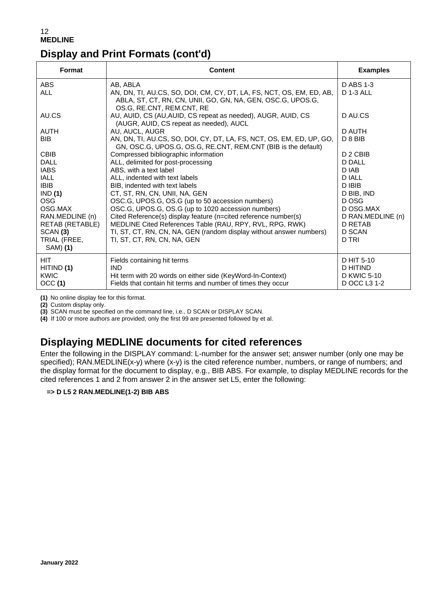## **Display and Print Formats (cont'd)**

| Format              | <b>Content</b>                                                                                                                                                   | <b>Examples</b>        |
|---------------------|------------------------------------------------------------------------------------------------------------------------------------------------------------------|------------------------|
| ABS                 | AB, ABLA                                                                                                                                                         | <b>D ABS 1-3</b>       |
| <b>ALL</b>          | AN, DN, TI, AU.CS, SO, DOI, CM, CY, DT, LA, FS, NCT, OS, EM, ED, AB,<br>ABLA, ST, CT, RN, CN, UNII, GO, GN, NA, GEN, OSC.G, UPOS.G,<br>OS.G, RE.CNT, REM.CNT, RE | D 1-3 ALL              |
| AU.CS               | AU, AUID, CS (AU, AUID, CS repeat as needed), AUGR, AUID, CS<br>(AUGR, AUID, CS repeat as needed), AUCL                                                          | D AU.CS                |
| <b>AUTH</b>         | AU, AUCL, AUGR                                                                                                                                                   | D AUTH                 |
| <b>BIB</b>          | AN, DN, TI, AU.CS, SO, DOI, CY, DT, LA, FS, NCT, OS, EM, ED, UP, GO,<br>GN, OSC.G, UPOS.G, OS.G, RE.CNT, REM.CNT (BIB is the default)                            | D 8 BIB                |
| <b>CBIB</b>         | Compressed bibliographic information                                                                                                                             | D <sub>2</sub> CBIB    |
| <b>DALL</b>         | ALL, delimited for post-processing                                                                                                                               | <b>D DALL</b>          |
| <b>IABS</b>         | ABS, with a text label                                                                                                                                           | D IAB                  |
| IALL                | ALL, indented with text labels                                                                                                                                   | <b>D IALL</b>          |
| <b>IBIB</b>         | BIB, indented with text labels                                                                                                                                   | D IBIB                 |
| IND(1)              | CT. ST. RN. CN. UNII. NA. GEN                                                                                                                                    | D BIB. IND             |
| OSG                 | OSC.G, UPOS.G, OS.G (up to 50 accession numbers)                                                                                                                 | D OSG                  |
| OSG.MAX             | OSC.G, UPOS.G, OS.G (up to 1020 accession numbers)                                                                                                               | D OSG.MAX              |
| RAN.MEDLINE (n)     | Cited Reference(s) display feature (n=cited reference number(s)                                                                                                  | D RAN.MEDLINE (n)      |
| RETAB (RETABLE)     | MEDLINE Cited References Table (RAU, RPY, RVL, RPG, RWK)                                                                                                         | D RETAB                |
| SCAN <sub>(3)</sub> | TI, ST, CT, RN, CN, NA, GEN (random display without answer numbers)                                                                                              | <b>D SCAN</b>          |
| TRIAL (FREE,        | TI, ST, CT, RN, CN, NA, GEN                                                                                                                                      | D TRI                  |
| SAM) (1)            |                                                                                                                                                                  |                        |
| HIT.<br>HITIND (1)  | Fields containing hit terms<br><b>IND</b>                                                                                                                        | D HIT 5-10<br>D HITIND |
| KWIC                | Hit term with 20 words on either side (KeyWord-In-Context)                                                                                                       | D KWIC 5-10            |
| OCC(1)              | Fields that contain hit terms and number of times they occur                                                                                                     | D OCC L3 1-2           |
|                     |                                                                                                                                                                  |                        |

**(1)** No online display fee for this format.

**(2)** Custom display only.

**(3)** SCAN must be specified on the command line, i.e., D SCAN or DISPLAY SCAN.

**(4)** If 100 or more authors are provided, only the first 99 are presented followed by et al.

## **Displaying MEDLINE documents for cited references**

Enter the following in the DISPLAY command: L-number for the answer set; answer number (only one may be specified); RAN.MEDLINE(x-y) where (x-y) is the cited reference number, numbers, or range of numbers; and the display format for the document to display, e.g., BIB ABS. For example, to display MEDLINE records for the cited references 1 and 2 from answer 2 in the answer set L5, enter the following:

**=> D L5 2 RAN.MEDLINE(1-2) BIB ABS**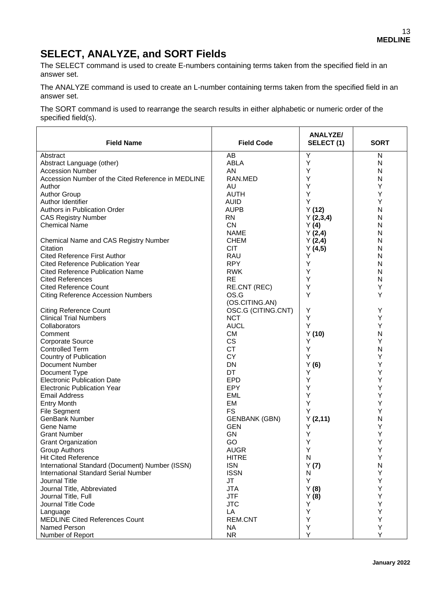## **SELECT, ANALYZE, and SORT Fields**

The SELECT command is used to create E-numbers containing terms taken from the specified field in an answer set.

The ANALYZE command is used to create an L-number containing terms taken from the specified field in an answer set.

The SORT command is used to rearrange the search results in either alphabetic or numeric order of the specified field(s).

| <b>Field Name</b>                                  | <b>Field Code</b>    | <b>ANALYZE/</b><br>SELECT(1) | <b>SORT</b> |
|----------------------------------------------------|----------------------|------------------------------|-------------|
| Abstract                                           | AB                   | Y                            | N           |
| Abstract Language (other)                          | <b>ABLA</b>          | Υ                            | N           |
| <b>Accession Number</b>                            | AN                   | Υ                            | N           |
| Accession Number of the Cited Reference in MEDLINE | RAN.MED              | Y                            | N           |
| Author                                             | AU                   | Υ                            | Y           |
| <b>Author Group</b>                                | <b>AUTH</b>          | Υ                            | Υ           |
| Author Identifier                                  | <b>AUID</b>          | Y                            | Y           |
| Authors in Publication Order                       | <b>AUPB</b>          | Y(12)                        | N           |
| <b>CAS Registry Number</b>                         | <b>RN</b>            | Y(2,3,4)                     | N           |
| <b>Chemical Name</b>                               | <b>CN</b>            | Y(4)                         | N           |
|                                                    | <b>NAME</b>          | Y(2,4)                       | N           |
| Chemical Name and CAS Registry Number              | <b>CHEM</b>          | Y(2,4)                       | N           |
| Citation                                           | <b>CIT</b>           | Y(4,5)                       | N           |
| <b>Cited Reference First Author</b>                | <b>RAU</b>           | Y                            | N           |
| Cited Reference Publication Year                   | <b>RPY</b>           | Υ                            | N           |
| <b>Cited Reference Publication Name</b>            | <b>RWK</b>           | Υ                            | N           |
| <b>Cited References</b>                            | <b>RE</b>            | Y                            | N           |
| <b>Cited Reference Count</b>                       | RE.CNT (REC)         | Υ                            | Y           |
| <b>Citing Reference Accession Numbers</b>          | OS.G                 | Y                            | Υ           |
|                                                    | (OS.CITING.AN)       |                              |             |
| <b>Citing Reference Count</b>                      | OSC.G (CITING.CNT)   | Υ                            | Υ           |
| <b>Clinical Trial Numbers</b>                      | <b>NCT</b>           | Υ                            | Υ           |
| Collaborators                                      | <b>AUCL</b>          | Υ                            | Y           |
| Comment                                            | <b>CM</b>            | Y(10)                        | N           |
| <b>Corporate Source</b>                            | <b>CS</b>            | Y                            | Υ           |
| <b>Controlled Term</b>                             | <b>CT</b>            | Υ                            | N           |
| Country of Publication                             | CY                   | Υ                            | Υ           |
| Document Number                                    | DN                   | Y(6)                         | Υ           |
| Document Type                                      | DT                   | Υ                            | Υ           |
| <b>Electronic Publication Date</b>                 | <b>EPD</b>           | Υ                            | Υ           |
| <b>Electronic Publication Year</b>                 | EPY                  | Υ                            | Υ           |
| <b>Email Address</b>                               | <b>EML</b>           | Υ                            | Υ           |
| <b>Entry Month</b>                                 | EM                   | Y                            | Y           |
| File Segment                                       | <b>FS</b>            | Υ                            | Y           |
| GenBank Number                                     | <b>GENBANK (GBN)</b> | Y(2, 11)                     | N           |
| Gene Name                                          | <b>GEN</b>           | Y                            | Y           |
| <b>Grant Number</b>                                | <b>GN</b>            | Υ                            | Y           |
| <b>Grant Organization</b>                          | GO                   | Υ                            | Υ           |
| <b>Group Authors</b>                               | <b>AUGR</b>          | Y                            | Υ           |
| <b>Hit Cited Reference</b>                         | <b>HITRE</b>         | N                            | Y           |
| International Standard (Document) Number (ISSN)    | <b>ISN</b>           | Y(7)                         | N           |
| International Standard Serial Number               | <b>ISSN</b>          | N                            | Υ           |
| Journal Title                                      | JT                   | Υ                            | Y           |
| Journal Title, Abbreviated                         | <b>JTA</b>           | Y(8)                         | Y           |
| Journal Title, Full                                | <b>JTF</b>           | Y(8)                         | Υ           |
| Journal Title Code                                 | <b>JTC</b>           | Υ                            | Υ           |
|                                                    | LA                   | Y                            | Y           |
| Language<br><b>MEDLINE Cited References Count</b>  | REM.CNT              | Υ                            | Υ           |
| Named Person                                       | <b>NA</b>            | Υ                            | Υ           |
| Number of Report                                   | <b>NR</b>            | Y                            | Y           |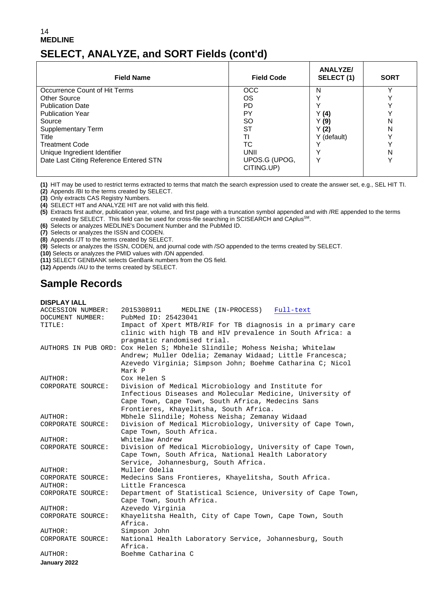## **SELECT, ANALYZE, and SORT Fields (cont'd)**

| <b>Field Name</b>                      | <b>Field Code</b>           | <b>ANALYZE/</b><br>SELECT (1) | <b>SORT</b> |
|----------------------------------------|-----------------------------|-------------------------------|-------------|
| Occurrence Count of Hit Terms          | <b>OCC</b>                  | N                             |             |
| <b>Other Source</b>                    | OS                          |                               |             |
| <b>Publication Date</b>                | <b>PD</b>                   |                               |             |
| <b>Publication Year</b>                | PY                          | Y(4)                          |             |
| Source                                 | SO                          | Y(9)                          | N           |
| Supplementary Term                     | ST                          | Y(2)                          | N           |
| Title                                  | ΤI                          | Y (default)                   |             |
| <b>Treatment Code</b>                  | TC                          |                               |             |
| Unique Ingredient Identifier           | UNII                        |                               | Ν           |
| Date Last Citing Reference Entered STN | UPOS.G (UPOG,<br>CITING.UP) |                               |             |

**(1)** HIT may be used to restrict terms extracted to terms that match the search expression used to create the answer set, e.g., SEL HIT TI.

**(2)** Appends /BI to the terms created by SELECT.

**(3)** Only extracts CAS Registry Numbers.

**(4)** SELECT HIT and ANALYZE HIT are not valid with this field.

**(5)** Extracts first author, publication year, volume, and first page with a truncation symbol appended and with /RE appended to the terms created by SELECT. This field can be used for cross-file searching in SCISEARCH and CAplusSM.

**(6)** Selects or analyzes MEDLINE's Document Number and the PubMed ID.

**(7)** Selects or analyzes the ISSN and CODEN.

**(8)** Appends /JT to the terms created by SELECT.

**(9)** Selects or analyzes the ISSN, CODEN, and journal code with /SO appended to the terms created by SELECT.

**(10)** Selects or analyzes the PMID values with /DN appended.

**(11)** SELECT GENBANK selects GenBank numbers from the OS field.

**(12)** Appends /AU to the terms created by SELECT.

## **Sample Records**

#### **DISPLAY IALL**

| ACCESSION NUMBER: | 2015308911<br>MEDLINE (IN-PROCESS)<br>Full-text                           |
|-------------------|---------------------------------------------------------------------------|
| DOCUMENT NUMBER:  | PubMed ID: 25423041                                                       |
| TITLE:            | Impact of Xpert MTB/RIF for TB diagnosis in a primary care                |
|                   | clinic with high TB and HIV prevalence in South Africa: a                 |
|                   | pragmatic randomised trial.                                               |
|                   | AUTHORS IN PUB ORD: Cox Helen S; Mbhele Slindile; Mohess Neisha; Whitelaw |
|                   | Andrew; Muller Odelia; Zemanay Widaad; Little Francesca;                  |
|                   | Azevedo Virginia; Simpson John; Boehme Catharina C; Nicol                 |
|                   | Mark P                                                                    |
| AUTHOR:           | Cox Helen S                                                               |
| CORPORATE SOURCE: | Division of Medical Microbiology and Institute for                        |
|                   | Infectious Diseases and Molecular Medicine, University of                 |
|                   | Cape Town, Cape Town, South Africa, Medecins Sans                         |
|                   | Frontieres, Khayelitsha, South Africa.                                    |
| AUTHOR:           | Mbhele Slindile; Mohess Neisha; Zemanay Widaad                            |
| CORPORATE SOURCE: | Division of Medical Microbiology, University of Cape Town,                |
|                   | Cape Town, South Africa.                                                  |
| AUTHOR:           | Whitelaw Andrew                                                           |
| CORPORATE SOURCE: | Division of Medical Microbiology, University of Cape Town,                |
|                   | Cape Town, South Africa, National Health Laboratory                       |
|                   | Service, Johannesburg, South Africa.                                      |
| AUTHOR:           | Muller Odelia                                                             |
| CORPORATE SOURCE: | Medecins Sans Frontieres, Khayelitsha, South Africa.                      |
| AUTHOR:           | Little Francesca                                                          |
| CORPORATE SOURCE: | Department of Statistical Science, University of Cape Town,               |
|                   | Cape Town, South Africa.                                                  |
| AUTHOR:           | Azevedo Virginia                                                          |
| CORPORATE SOURCE: | Khayelitsha Health, City of Cape Town, Cape Town, South                   |
|                   | Africa.                                                                   |
| AUTHOR:           | Simpson John                                                              |
| CORPORATE SOURCE: | National Health Laboratory Service, Johannesburg, South                   |
|                   | Africa.                                                                   |
| AUTHOR:           | Boehme Catharina C                                                        |
| January 2022      |                                                                           |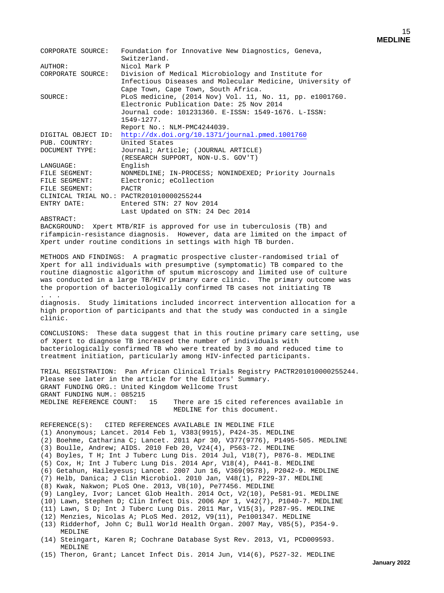|                | CORPORATE SOURCE: Foundation for Innovative New Diagnostics, Geneva, |
|----------------|----------------------------------------------------------------------|
|                | Switzerland.                                                         |
| AUTHOR:        | Nicol Mark P                                                         |
|                | CORPORATE SOURCE: Division of Medical Microbiology and Institute for |
|                | Infectious Diseases and Molecular Medicine, University of            |
|                | Cape Town, Cape Town, South Africa.                                  |
| SOURCE:        | PLoS medicine, (2014 Nov) Vol. 11, No. 11, pp. e1001760.             |
|                | Electronic Publication Date: 25 Nov 2014                             |
|                | Journal code: 101231360. E-ISSN: 1549-1676. L-ISSN:                  |
|                | $1549 - 1277.$                                                       |
|                | Report No.: NLM-PMC4244039.                                          |
|                | DIGITAL OBJECT ID: http://dx.doi.org/10.1371/journal.pmed.1001760    |
| PUB. COUNTRY:  | United States                                                        |
| DOCUMENT TYPE: | Journal; Article; (JOURNAL ARTICLE)                                  |
|                | (RESEARCH SUPPORT, NON-U.S. GOV'T)                                   |
| LANGUAGE:      | English                                                              |
| FILE SEGMENT:  | NONMEDLINE; IN-PROCESS; NONINDEXED; Priority Journals                |
| FILE SEGMENT:  | Electronic; eCollection                                              |
| FILE SEGMENT:  | PACTR                                                                |
|                | CLINICAL TRIAL NO.: PACTR201010000255244                             |
| ENTRY DATE:    | Entered STN: 27 Nov 2014                                             |
|                | Last Updated on STN: 24 Dec 2014                                     |

#### ABSTRACT:

BACKGROUND: Xpert MTB/RIF is approved for use in tuberculosis (TB) and rifampicin-resistance diagnosis. However, data are limited on the impact of Xpert under routine conditions in settings with high TB burden.

METHODS AND FINDINGS: A pragmatic prospective cluster-randomised trial of Xpert for all individuals with presumptive (symptomatic) TB compared to the routine diagnostic algorithm of sputum microscopy and limited use of culture was conducted in a large TB/HIV primary care clinic. The primary outcome was the proportion of bacteriologically confirmed TB cases not initiating TB

.  $\cdot$  . diagnosis. Study limitations included incorrect intervention allocation for a high proportion of participants and that the study was conducted in a single clinic.

CONCLUSIONS: These data suggest that in this routine primary care setting, use of Xpert to diagnose TB increased the number of individuals with bacteriologically confirmed TB who were treated by 3 mo and reduced time to treatment initiation, particularly among HIV-infected participants.

TRIAL REGISTRATION: Pan African Clinical Trials Registry PACTR201010000255244. Please see later in the article for the Editors' Summary. GRANT FUNDING ORG.: United Kingdom Wellcome Trust GRANT FUNDING NUM.: 085215<br>MEDLINE REFERENCE COUNT: 15 There are 15 cited references available in MEDLINE for this document.

REFERENCE(S): CITED REFERENCES AVAILABLE IN MEDLINE FILE (1) Anonymous; Lancet. 2014 Feb 1, V383(9915), P424-35. MEDLINE (2) Boehme, Catharina C; Lancet. 2011 Apr 30, V377(9776), P1495-505. MEDLINE (3) Boulle, Andrew; AIDS. 2010 Feb 20, V24(4), P563-72. MEDLINE (4) Boyles, T H; Int J Tuberc Lung Dis. 2014 Jul, V18(7), P876-8. MEDLINE (5) Cox, H; Int J Tuberc Lung Dis. 2014 Apr, V18(4), P441-8. MEDLINE (6) Getahun, Haileyesus; Lancet. 2007 Jun 16, V369(9578), P2042-9. MEDLINE (7) Helb, Danica; J Clin Microbiol. 2010 Jan, V48(1), P229-37. MEDLINE (8) Kwak, Nakwon; PLoS One. 2013, V8(10), Pe77456. MEDLINE (9) Langley, Ivor; Lancet Glob Health. 2014 Oct, V2(10), Pe581-91. MEDLINE (10) Lawn, Stephen D; Clin Infect Dis. 2006 Apr 1, V42(7), P1040-7. MEDLINE (11) Lawn, S D; Int J Tuberc Lung Dis. 2011 Mar, V15(3), P287-95. MEDLINE (12) Menzies, Nicolas A; PLoS Med. 2012, V9(11), Pe1001347. MEDLINE (13) Ridderhof, John C; Bull World Health Organ. 2007 May, V85(5), P354-9. MEDLINE (14) Steingart, Karen R; Cochrane Database Syst Rev. 2013, V1, PCD009593.

MEDLINE

(15) Theron, Grant; Lancet Infect Dis. 2014 Jun, V14(6), P527-32. MEDLINE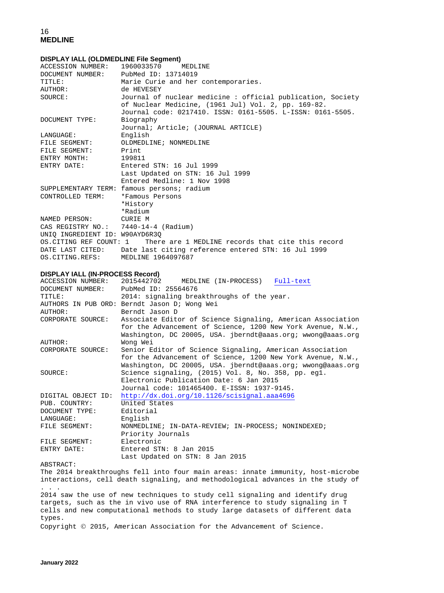#### **DISPLAY IALL (OLDMEDLINE File Segment)**

|                                      | ACCESSION NUMBER: 1960033570 MEDLINE                                      |
|--------------------------------------|---------------------------------------------------------------------------|
| DOCUMENT NUMBER: PubMed ID: 13714019 |                                                                           |
| TITLE:                               | Marie Curie and her contemporaries.                                       |
| AUTHOR:                              | de HEVESEY                                                                |
| SOURCE:                              | Journal of nuclear medicine: official publication, Society                |
|                                      | of Nuclear Medicine, (1961 Jul) Vol. 2, pp. 169-82.                       |
|                                      | Journal code: 0217410. ISSN: 0161-5505. L-ISSN: 0161-5505.                |
| DOCUMENT TYPE:                       | Biography                                                                 |
|                                      | Journal; Article; (JOURNAL ARTICLE)                                       |
| LANGUAGE:                            | English                                                                   |
| FILE SEGMENT:                        | OLDMEDLINE; NONMEDLINE                                                    |
| FILE SEGMENT: Print                  |                                                                           |
| ENTRY MONTH: 199811                  |                                                                           |
|                                      | ENTRY DATE: Entered STN: 16 Jul 1999                                      |
|                                      | Last Updated on STN: 16 Jul 1999                                          |
|                                      | Entered Medline: 1 Nov 1998                                               |
|                                      | SUPPLEMENTARY TERM: famous persons; radium                                |
| CONTROLLED TERM:                     | *Famous Persons                                                           |
|                                      | *History                                                                  |
|                                      | *Radium                                                                   |
| NAMED PERSON: CURIE M                |                                                                           |
| CAS REGISTRY NO.: 7440-14-4 (Radium) |                                                                           |
| UNIQ INGREDIENT ID: W90AYD6R3Q       |                                                                           |
|                                      | OS. CITING REF COUNT: 1 There are 1 MEDLINE records that cite this record |
|                                      | DATE LAST CITED: Date last citing reference entered STN: 16 Jul 1999      |
| OS. CITING. REFS: MEDLINE 1964097687 |                                                                           |

#### **DISPLAY IALL (IN-PROCESS Record)**

| ACCESSION NUMBER: | 2015442702<br>MEDLINE (IN-PROCESS) Full-text                   |
|-------------------|----------------------------------------------------------------|
| DOCUMENT NUMBER:  | PubMed ID: 25564676                                            |
| TITLE:            | 2014: signaling breakthroughs of the year.                     |
|                   | AUTHORS IN PUB ORD: Berndt Jason D; Wong Wei                   |
| AUTHOR:           | Berndt Jason D                                                 |
| CORPORATE SOURCE: | Associate Editor of Science Signaling, American Association    |
|                   | for the Advancement of Science, 1200 New York Avenue, N.W.,    |
|                   | Washington, DC 20005, USA. jberndt@aaas.org; wwong@aaas.org    |
| AUTHOR:           | Wong Wei                                                       |
| CORPORATE SOURCE: | Senior Editor of Science Signaling, American Association       |
|                   | for the Advancement of Science, 1200 New York Avenue, N.W.,    |
|                   | Washington, DC 20005, USA. jberndt@aaas.org; wwong@aaas.org    |
| SOURCE:           | Science signaling, $(2015)$ Vol. 8, No. 358, pp. eql.          |
|                   | Electronic Publication Date: 6 Jan 2015                        |
|                   | Journal code: 101465400. E-ISSN: 1937-9145.                    |
|                   | DIGITAL OBJECT ID: http://dx.doi.org/10.1126/scisignal.aaa4696 |
| PUB. COUNTRY:     | United States                                                  |
| DOCUMENT TYPE:    | Editorial                                                      |
| LANGUAGE:         | English                                                        |
| FILE SEGMENT:     | NONMEDLINE; IN-DATA-REVIEW; IN-PROCESS; NONINDEXED;            |
|                   | Priority Journals                                              |
| FILE SEGMENT:     | Electronic                                                     |
| ENTRY DATE:       | Entered STN: 8 Jan 2015                                        |
|                   | Last Updated on STN: 8 Jan 2015                                |

#### ABSTRACT:

. . .

The 2014 breakthroughs fell into four main areas: innate immunity, host-microbe interactions, cell death signaling, and methodological advances in the study of

2014 saw the use of new techniques to study cell signaling and identify drug targets, such as the in vivo use of RNA interference to study signaling in T cells and new computational methods to study large datasets of different data types.

Copyright © 2015, American Association for the Advancement of Science.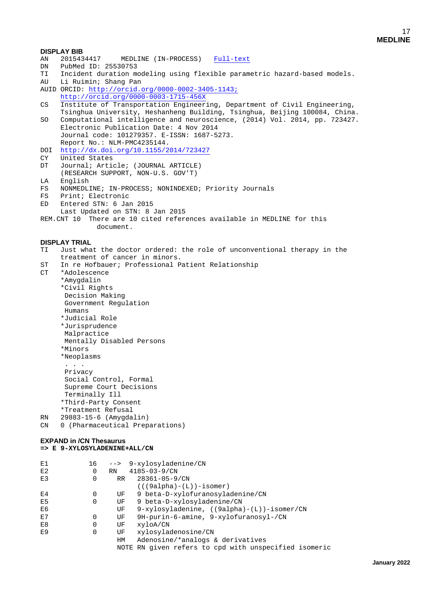- **DISPLAY BIB**<br>AN 2015434417 AN 2015434417 MEDLINE (IN-PROCESS) [Full-text](http://chemport.cas.org/cgi-bin/ex_sdcgi?_lURIUf42FZnZFv7Vc9YiFw3cXEHJ_y8Y2iMFZFW71vhavYlGCK5olZmcu@ZJyTUoz3MAxmrFcBZ7tAe@IuJdFWCAZWzk6OElXHcOFOnECv@PUYUDU2JxwnUE6Qs0rqeHlFxWcikUlOF2aIeRV2vxJZi@PWPeCn0S37Ve7J1@UJkWXwARal8SoPvfCm65yo3)<br>DN PubMed ID: 25530753
- DN PubMed ID: 25530753<br>TI Incident duration me
- TI Incident duration modeling using flexible parametric hazard-based models.<br>AU I.i Ruimin: Shang Pan
- Li Ruimin; Shang Pan
- AUID ORCID:<http://orcid.org/0000-0002-3405-1143;>
- <http://orcid.org/0000-0003-1715-456X><br>CS Institute of Transportation Engineer

```
Institute of Transportation Engineering, Department of Civil Engineering,
 Tsinghua University, Heshanheng Building, Tsinghua, Beijing 100084, China.
```

```
Computational intelligence and neuroscience, (2014) Vol. 2014, pp. 723427.
 Electronic Publication Date: 4 Nov 2014 
 Journal code: 101279357. E-ISSN: 1687-5273. 
 Report No.: NLM-PMC4235144.
```
DOI <http://dx.doi.org/10.1155/2014/723427><br>CY United States

```
CY United States<br>DT Journal; Artio
```
- Journal; Article; (JOURNAL ARTICLE)
- (RESEARCH SUPPORT, NON-U.S. GOV'T)

```
LA English<br>FS NONMEDL
```

```
FS NONMEDLINE; IN-PROCESS; NONINDEXED; Priority Journals<br>FS Print: Electronic
```
- FS Print; Electronic<br>ED Entered STN: 6 Jan
- Entered STN: 6 Jan 2015 Last Updated on STN: 8 Jan 2015

```
REM.CNT 10 There are 10 cited references available in MEDLINE for this
               document.
```
#### **DISPLAY TRIAL**

|  |  |                                |  | TI Just what the doctor ordered: the role of unconventional therapy in the |  |  |
|--|--|--------------------------------|--|----------------------------------------------------------------------------|--|--|
|  |  | treatment of cancer in minors. |  |                                                                            |  |  |
|  |  |                                |  |                                                                            |  |  |

ST In re Hofbauer; Professional Patient Relationship<br>CT \*Adolescence

```
*Adolescence
 *Amygdalin
 *Civil Rights
 Decision Making
 Government Regulation
 Humans
 *Judicial Role
 *Jurisprudence
 Malpractice
 Mentally Disabled Persons
 *Minors
 *Neoplasms
```

```
 . . .
       Privacy
       Social Control, Formal
       Supreme Court Decisions
       Terminally Ill
      *Third-Party Consent
      *Treatment Refusal
RN 29883-15-6 (Amygdalin)
```
#### CN 0 (Pharmaceutical Preparations)

#### **EXPAND in /CN Thesaurus**

```
=> E 9-XYLOSYLADENINE+ALL/CN
```

| E1             | 16       |           | --> 9-xylosyladenine/CN                               |  |  |
|----------------|----------|-----------|-------------------------------------------------------|--|--|
| E2             | 0        | <b>RN</b> | $4185 - 03 - 9$ /CN                                   |  |  |
| E3             | 0        | <b>RR</b> | 28361-05-9/CN                                         |  |  |
|                |          |           | $((9a1pha) - (L)) - isomer)$                          |  |  |
| E4             | 0        | UF        | 9 beta-D-xylofuranosyladenine/CN                      |  |  |
| E <sub>5</sub> | $\Omega$ | UF        | 9 beta-D-xylosyladenine/CN                            |  |  |
| E6             |          | UF        | $9-xy$ losyladenine, $((9alpha) - (L)) - isomer/CN$   |  |  |
| E7             | 0        | UF        | 9H-purin-6-amine, 9-xylofuranosyl-/CN                 |  |  |
| E8             | 0        | UF        | xyloA/CN                                              |  |  |
| E9             | 0        | UF        | xylosyladenosine/CN                                   |  |  |
|                |          | HM        | Adenosine/*analogs & derivatives                      |  |  |
|                |          |           | NOTE RN given refers to cpd with unspecified isomeric |  |  |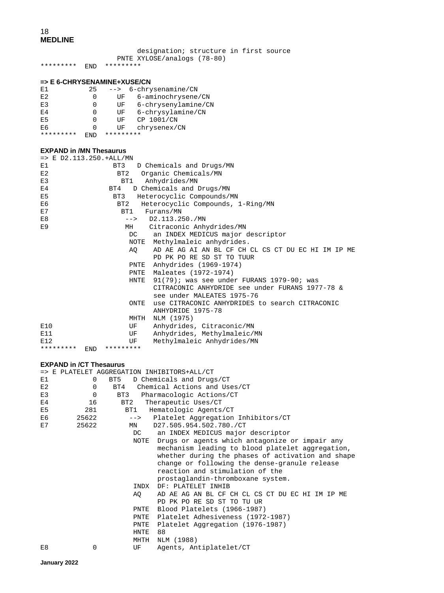|                                |            |                 | designation; structure in first source             |
|--------------------------------|------------|-----------------|----------------------------------------------------|
| *********                      | <b>END</b> | *********       | PNTE XYLOSE/analogs (78-80)                        |
|                                |            |                 |                                                    |
|                                |            |                 |                                                    |
| Ε1                             | 25         | $-->$           | $6$ -chrysenamine/CN                               |
| E2                             | 0          | UF              | 6-aminochrysene/CN                                 |
| E3                             | 0          | UF              | 6-chrysenylamine/CN                                |
| E4                             | 0          | UF              | 6-chrysylamine/CN                                  |
| E5                             | 0          | UF              | CP 1001/CN                                         |
| E6                             | 0          | UF              | chrysenex/CN                                       |
| *********                      | <b>END</b> | *********       |                                                    |
|                                |            |                 |                                                    |
| <b>EXPAND in /MN Thesaurus</b> |            |                 |                                                    |
| $=$ > E D2.113.250. +ALL/MN    |            |                 |                                                    |
| E1                             |            | BT3             | D Chemicals and Drugs/MN                           |
| E2                             |            | BT <sub>2</sub> | Organic Chemicals/MN                               |
| E3                             |            | BT1             | Anhydrides/MN                                      |
| E4                             |            | BT4             | D Chemicals and Drugs/MN                           |
| E5                             |            | BT3             | Heterocyclic Compounds/MN                          |
| E6                             |            | BT <sub>2</sub> | Heterocyclic Compounds, 1-Ring/MN                  |
| E7                             |            | BT1             | Furans/MN                                          |
| E8                             |            | $--&>$          | D2.113.250./MN                                     |
| E9                             |            | MH              | Citraconic Anhydrides/MN                           |
|                                |            | DC              | an INDEX MEDICUS major descriptor                  |
|                                |            | NOTE            | Methylmaleic anhydrides.                           |
|                                |            | AО              | AD AE AG AI AN BL CF CH CL CS CT DU EC HI IM IP ME |
|                                |            |                 | PD PK PO RE SD ST TO TUUR                          |
|                                |            |                 | PNTE Anhydrides (1969-1974)                        |
|                                |            |                 | PNTE Maleates (1972-1974)                          |
|                                |            | HNTE            | $91(79)$ ; was see under FURANS 1979-90; was       |
|                                |            |                 | CITRACONIC ANHYDRIDE see under FURANS 1977-78 &    |
|                                |            |                 | see under MALEATES 1975-76                         |
|                                |            | ONTE            | use CITRACONIC ANHYDRIDES to search CITRACONIC     |
|                                |            |                 | ANHYDRIDE 1975-78                                  |
|                                |            | MHTH            | NLM (1975)                                         |
| E10                            |            | UF              | Anhydrides, Citraconic/MN                          |
| E11                            |            | UF              | Anhydrides, Methylmaleic/MN                        |
| E12                            |            | UF              | Methylmaleic Anhydrides/MN                         |
| *********                      | <b>END</b> | *********       |                                                    |
| <b>EXPAND in /CT Thesaurus</b> |            |                 |                                                    |
|                                |            |                 | => E PLATELET AGGREGATION INHIBITORS+ALL/CT        |
| E1                             | 0          | BT <sub>5</sub> | D Chemicals and Drugs/CT                           |
| E2                             | 0          | BT4             | Chemical Actions and Uses/CT                       |
| E3                             | 0          | BT3             | Pharmacologic Actions/CT                           |
| E4                             | 16         | BT <sub>2</sub> | Therapeutic Uses/CT                                |
| E <sub>5</sub>                 | 281        | BT1             | Hematologic Agents/CT                              |
|                                |            |                 |                                                    |

 mechanism leading to blood platelet aggregation, whether during the phases of activation and shape change or following the dense-granule release reaction and stimulation of the prostaglandin-thromboxane system. INDX DF: PLATELET INHIB<br>AQ AD AE AG AN BL CF

E6 25622 --> Platelet Aggregation Inhibitors/CT<br>E7 25622 MN D27.505.954.502.780./CT

MN D27.505.954.502.780./CT<br>DC an INDEX MEDICUS major

 AQ AD AE AG AN BL CF CH CL CS CT DU EC HI IM IP ME PD PK PO RE SD ST TO TU UR PNTE Blood Platelets (1966-1987) PNTE Platelet Adhesiveness (1972-1987) PNTE Platelet Aggregation (1976-1987) HNTE 88

an INDEX MEDICUS major descriptor

NOTE Drugs or agents which antagonize or impair any